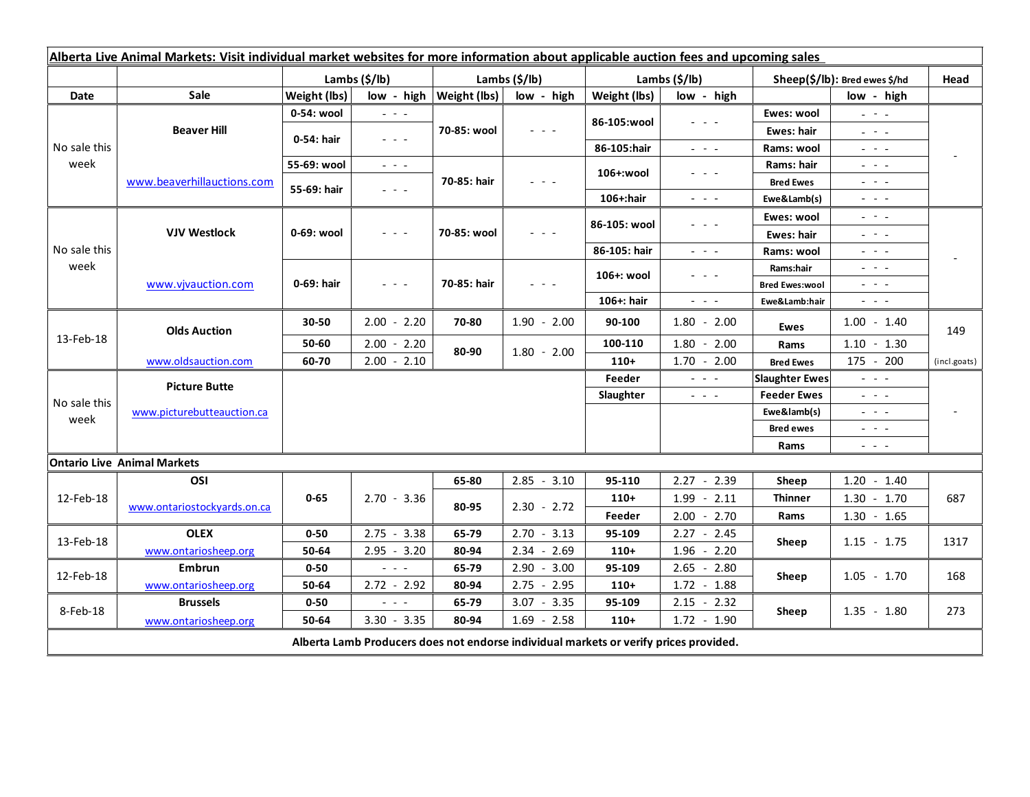| Alberta Live Animal Markets: Visit individual market websites for more information about applicable auction fees and upcoming sales |                                    |                           |                                                                                                |                              |                                            |               |                                                                                                                           |                               |                                                                                                                                                      |                          |
|-------------------------------------------------------------------------------------------------------------------------------------|------------------------------------|---------------------------|------------------------------------------------------------------------------------------------|------------------------------|--------------------------------------------|---------------|---------------------------------------------------------------------------------------------------------------------------|-------------------------------|------------------------------------------------------------------------------------------------------------------------------------------------------|--------------------------|
|                                                                                                                                     |                                    | Lambs $(\frac{2}{3})$ lb) |                                                                                                | Lambs $(\frac{2}{3})$ lb)    |                                            | Lambs (\$/lb) |                                                                                                                           | Sheep(\$/lb): Bred ewes \$/hd |                                                                                                                                                      | Head                     |
| Date                                                                                                                                | Sale                               | Weight (lbs)              |                                                                                                | $low - high   Weight (lbs) $ | low - high                                 | Weight (lbs)  | low - high                                                                                                                |                               | low - high                                                                                                                                           |                          |
| No sale this<br>week                                                                                                                | <b>Beaver Hill</b>                 | 0-54: wool                | $\omega_{\rm{eff}}$ and $\omega_{\rm{eff}}$                                                    | 70-85: wool                  | $  -$                                      | 86-105:wool   | $  -$                                                                                                                     | Ewes: wool                    | $\omega_{\rm{eff}}=0.1$                                                                                                                              |                          |
|                                                                                                                                     |                                    | 0-54: hair                | $\frac{1}{2} \left( \frac{1}{2} \right) \left( \frac{1}{2} \right) \left( \frac{1}{2} \right)$ |                              |                                            |               |                                                                                                                           | <b>Ewes: hair</b>             | $\omega_{\rm c}$ , $\omega_{\rm c}$ , $\omega_{\rm c}$                                                                                               |                          |
|                                                                                                                                     |                                    |                           |                                                                                                |                              |                                            | 86-105:hair   | $\omega_{\rm{eff}}$ and $\omega_{\rm{eff}}$                                                                               | Rams: wool                    | $\frac{1}{2} \left( \frac{1}{2} \right) = \frac{1}{2} \left( \frac{1}{2} \right) = \frac{1}{2}$                                                      |                          |
|                                                                                                                                     | www.beaverhillauctions.com         | 55-69: wool               | $\omega_{\rm{eff}}$ and $\omega_{\rm{eff}}$                                                    | 70-85: hair                  | 20 A G                                     | 106+:wool     | $  -$                                                                                                                     | Rams: hair                    | $\mathbb{Z}^2$ and $\mathbb{Z}^2$                                                                                                                    |                          |
|                                                                                                                                     |                                    | 55-69: hair               | $\omega_{\rm{eff}}$ and $\omega_{\rm{eff}}$                                                    |                              |                                            |               |                                                                                                                           | <b>Bred Ewes</b>              | $\frac{1}{2} \left( \frac{1}{2} \right) = \frac{1}{2} \left( \frac{1}{2} \right) = \frac{1}{2}$                                                      |                          |
|                                                                                                                                     |                                    |                           |                                                                                                |                              |                                            | 106+:hair     | $\frac{1}{2} \left( \frac{1}{2} \right) \left( \frac{1}{2} \right) \left( \frac{1}{2} \right) \left( \frac{1}{2} \right)$ | Ewe&Lamb(s)                   | $\frac{1}{2} \left( \frac{1}{2} \right) \left( \frac{1}{2} \right) \left( \frac{1}{2} \right) \left( \frac{1}{2} \right)$                            |                          |
| No sale this<br>week                                                                                                                | <b>VJV Westlock</b>                | 0-69: wool                | $  -$                                                                                          | 70-85: wool                  |                                            | 86-105: wool  | .                                                                                                                         | Ewes: wool                    | $\frac{1}{2} \left( \frac{1}{2} \right) = \frac{1}{2} \left( \frac{1}{2} \right)$                                                                    |                          |
|                                                                                                                                     |                                    |                           |                                                                                                |                              |                                            |               |                                                                                                                           | <b>Ewes: hair</b>             | $\mathbb{L}^2 \times \mathbb{L}^2$                                                                                                                   |                          |
|                                                                                                                                     |                                    |                           |                                                                                                |                              |                                            | 86-105: hair  | $\frac{1}{2} \left( \frac{1}{2} \right) = \frac{1}{2} \left( \frac{1}{2} \right) = \frac{1}{2}$                           | Rams: wool                    | $  -$                                                                                                                                                |                          |
|                                                                                                                                     | www.vjvauction.com                 | 0-69: hair                | $\omega_{\rm c}$ , $\omega_{\rm c}$ , $\omega_{\rm c}$                                         | 70-85: hair                  | $\mathbf{L} = \mathbf{L} \cdot \mathbf{L}$ | 106+: wool    | $  -$                                                                                                                     | Rams:hair                     | 20202                                                                                                                                                |                          |
|                                                                                                                                     |                                    |                           |                                                                                                |                              |                                            |               |                                                                                                                           | <b>Bred Ewes:wool</b>         | 20202                                                                                                                                                |                          |
|                                                                                                                                     |                                    |                           |                                                                                                |                              |                                            | 106+: hair    | $\frac{1}{2} \left( \frac{1}{2} \right) \left( \frac{1}{2} \right) \left( \frac{1}{2} \right) \left( \frac{1}{2} \right)$ | Ewe&Lamb:hair                 | $\frac{1}{2} \left( \frac{1}{2} \right) \left( \frac{1}{2} \right) \left( \frac{1}{2} \right) \left( \frac{1}{2} \right)$                            |                          |
| 13-Feb-18                                                                                                                           | <b>Olds Auction</b>                | 30-50                     | $2.00 - 2.20$                                                                                  | 70-80                        | $1.90 - 2.00$                              | 90-100        | $1.80 - 2.00$                                                                                                             | Ewes                          | $1.00 - 1.40$                                                                                                                                        | 149                      |
|                                                                                                                                     |                                    | 50-60                     | $2.00 - 2.20$                                                                                  | 80-90                        | $1.80 - 2.00$                              | 100-110       | $1.80 - 2.00$                                                                                                             | Rams                          | $1.10 - 1.30$                                                                                                                                        |                          |
|                                                                                                                                     | www.oldsauction.com                | 60-70                     | $2.00 - 2.10$                                                                                  |                              |                                            | $110+$        | $1.70 - 2.00$                                                                                                             | <b>Bred Ewes</b>              | 175 - 200                                                                                                                                            | (incl.goats)             |
| No sale this<br>week                                                                                                                | <b>Picture Butte</b>               |                           |                                                                                                |                              |                                            | Feeder        | $\omega_{\rm{c}}$ and $\omega_{\rm{c}}$                                                                                   | <b>Slaughter Ewes</b>         | $\omega_{\rm{max}}$                                                                                                                                  |                          |
|                                                                                                                                     | www.picturebutteauction.ca         |                           |                                                                                                |                              |                                            | Slaughter     | $\frac{1}{2} \left( \frac{1}{2} \right) \left( \frac{1}{2} \right) \left( \frac{1}{2} \right) \left( \frac{1}{2} \right)$ | <b>Feeder Ewes</b>            | $\frac{1}{2} \left( \frac{1}{2} \right) \left( \frac{1}{2} \right) \left( \frac{1}{2} \right) \left( \frac{1}{2} \right) \left( \frac{1}{2} \right)$ |                          |
|                                                                                                                                     |                                    |                           |                                                                                                |                              |                                            |               |                                                                                                                           | Ewe&lamb(s)                   | $\mathbb{Z}^2$ and $\mathbb{Z}^2$                                                                                                                    | $\overline{\phantom{a}}$ |
|                                                                                                                                     |                                    |                           |                                                                                                |                              |                                            |               |                                                                                                                           | <b>Bred ewes</b>              | $\frac{1}{2} \left( \frac{1}{2} \right) \frac{1}{2} \left( \frac{1}{2} \right) \frac{1}{2} \left( \frac{1}{2} \right)$                               |                          |
|                                                                                                                                     |                                    |                           |                                                                                                |                              |                                            |               |                                                                                                                           | Rams                          | $\frac{1}{2} \left( \frac{1}{2} \right) \left( \frac{1}{2} \right) \left( \frac{1}{2} \right) \left( \frac{1}{2} \right)$                            |                          |
|                                                                                                                                     | <b>Ontario Live Animal Markets</b> |                           |                                                                                                |                              |                                            |               |                                                                                                                           |                               |                                                                                                                                                      |                          |
| 12-Feb-18                                                                                                                           | OSI                                | $0 - 65$                  | $2.70 - 3.36$                                                                                  | 65-80                        | $2.85 - 3.10$                              | 95-110        | $2.27 - 2.39$                                                                                                             | Sheep                         | $1.20 - 1.40$                                                                                                                                        | 687                      |
|                                                                                                                                     | www.ontariostockyards.on.ca        |                           |                                                                                                | 80-95                        | $2.30 - 2.72$                              | $110+$        | $1.99 - 2.11$                                                                                                             | <b>Thinner</b><br>Rams        | $1.30 - 1.70$                                                                                                                                        |                          |
|                                                                                                                                     |                                    |                           |                                                                                                |                              |                                            | Feeder        | $2.00 - 2.70$                                                                                                             |                               | $1.30 - 1.65$                                                                                                                                        |                          |
| 13-Feb-18                                                                                                                           | <b>OLEX</b>                        | $0 - 50$                  | $2.75 - 3.38$                                                                                  | 65-79                        | $2.70 - 3.13$                              | 95-109        | $2.27 - 2.45$                                                                                                             | Sheep                         | $1.15 - 1.75$                                                                                                                                        | 1317                     |
|                                                                                                                                     | www.ontariosheep.org               | 50-64                     | $2.95 - 3.20$                                                                                  | 80-94                        | $2.34 - 2.69$                              | $110+$        | $1.96 - 2.20$                                                                                                             |                               |                                                                                                                                                      |                          |
| 12-Feb-18                                                                                                                           | Embrun                             | $0 - 50$                  | $\sim$ $\sim$ $\sim$                                                                           | 65-79                        | $2.90 - 3.00$                              | 95-109        | $2.65 - 2.80$                                                                                                             | Sheep                         | $1.05 - 1.70$                                                                                                                                        | 168                      |
|                                                                                                                                     | www.ontariosheep.org               | 50-64                     | $2.72 - 2.92$                                                                                  | 80-94                        | $2.75 - 2.95$                              | $110+$        | $1.72 - 1.88$                                                                                                             |                               |                                                                                                                                                      |                          |
| 8-Feb-18                                                                                                                            | <b>Brussels</b>                    | $0 - 50$                  | - - -                                                                                          | 65-79                        | $3.07 - 3.35$                              | 95-109        | $2.15 - 2.32$                                                                                                             | Sheep                         | $1.35 - 1.80$                                                                                                                                        | 273                      |
|                                                                                                                                     | www.ontariosheep.org               | 50-64                     | $3.30 - 3.35$                                                                                  | 80-94                        | $1.69 - 2.58$                              | $110+$        | $1.72 - 1.90$                                                                                                             |                               |                                                                                                                                                      |                          |
| Alberta Lamb Producers does not endorse individual markets or verify prices provided.                                               |                                    |                           |                                                                                                |                              |                                            |               |                                                                                                                           |                               |                                                                                                                                                      |                          |